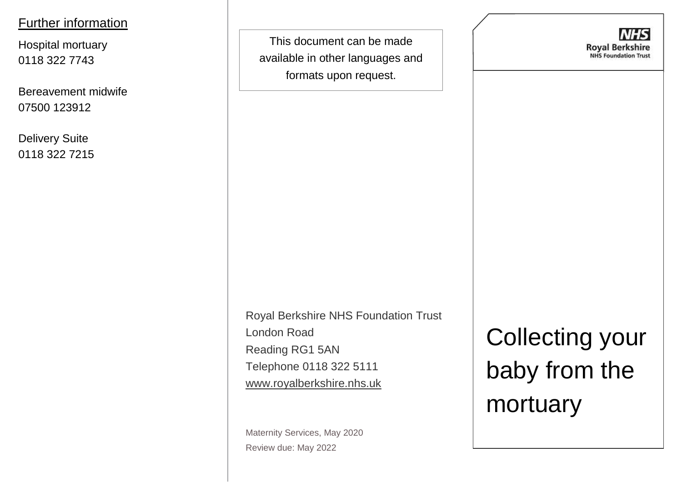### Further information

Hospital mortuary 0118 322 7743

Bereavement midwife 07500 123912

Delivery Suite 0118 322 7215

This document can be made available in other languages and formats upon request.

**Royal Berkshire NHS Foundation Trust** 

Royal Berkshire NHS Foundation Trust London Road Reading RG1 5AN Telephone 0118 322 5111 [www.royalberkshire.nhs.uk](http://www.royalberkshire.nhs.uk/)

Maternity Services, May 2020 Review due: May 2022

Collecting your baby from the mortuary